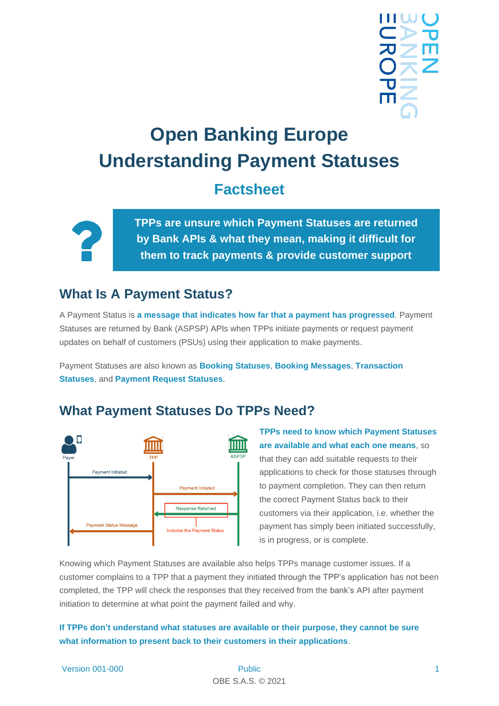

# **Open Banking Europe Understanding Payment Statuses**

# **Factsheet**



**TPPs are unsure which Payment Statuses are returned by Bank APIs & what they mean, making it difficult for them to track payments & provide customer support**

## **What Is A Payment Status?**

A Payment Status is **a message that indicates how far that a payment has progressed**. Payment Statuses are returned by Bank (ASPSP) APIs when TPPs initiate payments or request payment updates on behalf of customers (PSUs) using their application to make payments.

Payment Statuses are also known as **Booking Statuses**, **Booking Messages**, **Transaction Statuses**, and **Payment Request Statuses**.

## **What Payment Statuses Do TPPs Need?**



#### **TPPs need to know which Payment Statuses are available and what each one means**, so that they can add suitable requests to their applications to check for those statuses through to payment completion. They can then return the correct Payment Status back to their customers via their application, i.e. whether the payment has simply been initiated successfully, is in progress, or is complete.

Knowing which Payment Statuses are available also helps TPPs manage customer issues. If a customer complains to a TPP that a payment they initiated through the TPP's application has not been completed, the TPP will check the responses that they received from the bank's API after payment initiation to determine at what point the payment failed and why.

#### **If TPPs don't understand what statuses are available or their purpose, they cannot be sure what information to present back to their customers in their applications**.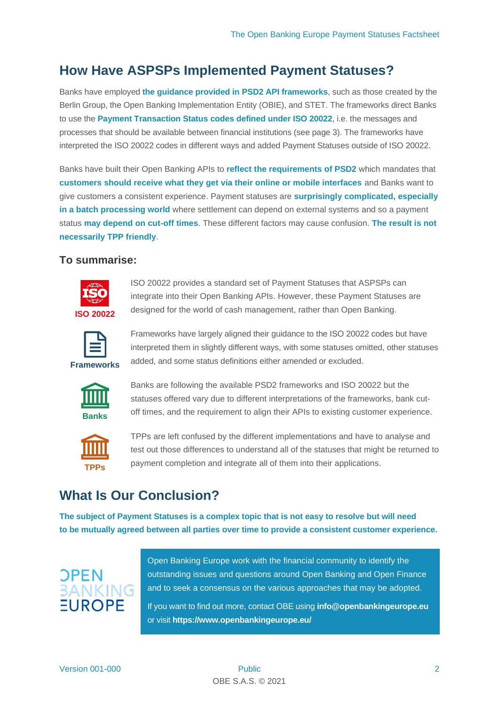### **How Have ASPSPs Implemented Payment Statuses?**

Banks have employed **the guidance provided in PSD2 API frameworks**, such as those created by the Berlin Group, the Open Banking Implementation Entity (OBIE), and STET. The frameworks direct Banks to use the **Payment Transaction Status codes defined under ISO 20022**, i.e. the messages and processes that should be available between financial institutions (see page 3). The frameworks have interpreted the ISO 20022 codes in different ways and added Payment Statuses outside of ISO 20022.

Banks have built their Open Banking APIs to **reflect the requirements of PSD2** which mandates that **customers should receive what they get via their online or mobile interfaces** and Banks want to give customers a consistent experience. Payment statuses are **surprisingly complicated, especially in a batch processing world** where settlement can depend on external systems and so a payment status **may depend on cut-off times**. These different factors may cause confusion. **The result is not necessarily TPP friendly**.

#### **To summarise:**



ISO 20022 provides a standard set of Payment Statuses that ASPSPs can integrate into their Open Banking APIs. However, these Payment Statuses are designed for the world of cash management, rather than Open Banking.



Frameworks have largely aligned their guidance to the ISO 20022 codes but have interpreted them in slightly different ways, with some statuses omitted, other statuses added, and some status definitions either amended or excluded.



Banks are following the available PSD2 frameworks and ISO 20022 but the statuses offered vary due to different interpretations of the frameworks, bank cutoff times, and the requirement to align their APIs to existing customer experience.



TPPs are left confused by the different implementations and have to analyse and test out those differences to understand all of the statuses that might be returned to payment completion and integrate all of them into their applications.

## **What Is Our Conclusion?**

**The subject of Payment Statuses is a complex topic that is not easy to resolve but will need to be mutually agreed between all parties over time to provide a consistent customer experience.**

## **DPEN** 3ANKING **FUROPE**

Open Banking Europe work with the financial community to identify the outstanding issues and questions around Open Banking and Open Finance and to seek a consensus on the various approaches that may be adopted. If you want to find out more, contact OBE using **[info@openbankingeurope.eu](mailto:info@openbankingeurope.eu)** or visit **<https://www.openbankingeurope.eu/>**